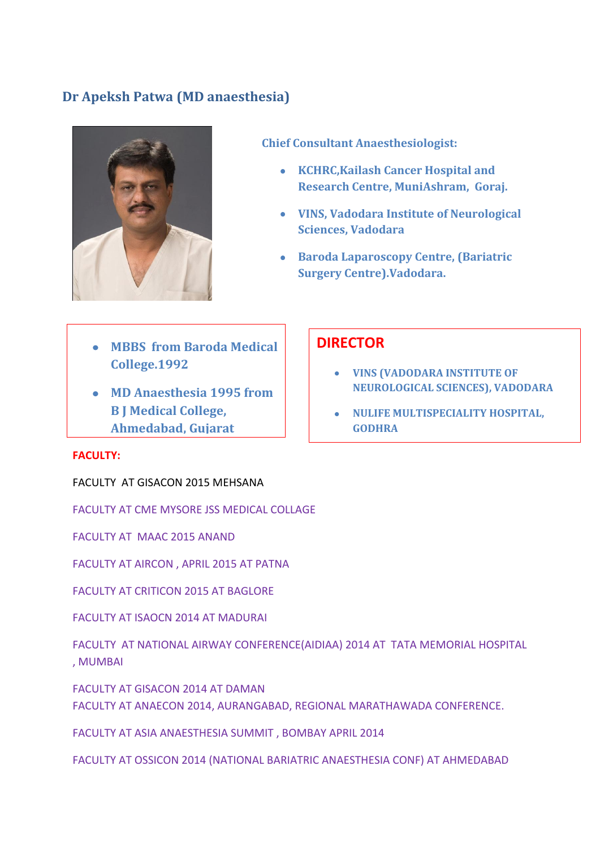### **Dr Apeksh Patwa (MD anaesthesia)**



**Chief Consultant Anaesthesiologist:** 

- **KCHRC,Kailash Cancer Hospital and Research Centre, MuniAshram, Goraj.**
- **VINS, Vadodara Institute of Neurological Sciences, Vadodara**
- **Baroda Laparoscopy Centre, (Bariatric Surgery Centre).Vadodara.**
- **MBBS from Baroda Medical College.1992**
- **MD Anaesthesia 1995 from B J Medical College, Ahmedabad, Gujarat**

#### **DIRECTOR**

- **VINS (VADODARA INSTITUTE OF NEUROLOGICAL SCIENCES), VADODARA**
- **NULIFE MULTISPECIALITY HOSPITAL, GODHRA**

#### **FACULTY: University 1995**

FACULTY AT GISACON 2015 MEHSANA

FACULTY AT CME MYSORE JSS MEDICAL COLLAGE

FACULTY AT MAAC 2015 ANAND

FACULTY AT AIRCON , APRIL 2015 AT PATNA

FACULTY AT CRITICON 2015 AT BAGLORE

FACULTY AT ISAOCN 2014 AT MADURAI

FACULTY AT NATIONAL AIRWAY CONFERENCE(AIDIAA) 2014 AT TATA MEMORIAL HOSPITAL , MUMBAI

FACULTY AT GISACON 2014 AT DAMAN FACULTY AT ANAECON 2014, AURANGABAD, REGIONAL MARATHAWADA CONFERENCE.

FACULTY AT ASIA ANAESTHESIA SUMMIT , BOMBAY APRIL 2014

FACULTY AT OSSICON 2014 (NATIONAL BARIATRIC ANAESTHESIA CONF) AT AHMEDABAD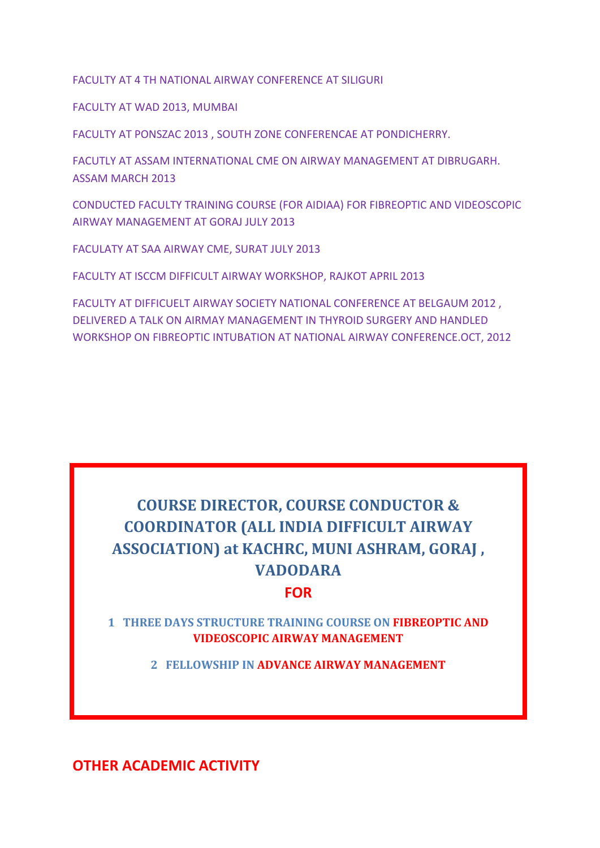FACULTY AT 4 TH NATIONAL AIRWAY CONFERENCE AT SILIGURI

FACULTY AT WAD 2013, MUMBAI

FACULTY AT PONSZAC 2013 , SOUTH ZONE CONFERENCAE AT PONDICHERRY.

FACUTLY AT ASSAM INTERNATIONAL CME ON AIRWAY MANAGEMENT AT DIBRUGARH. ASSAM MARCH 2013

CONDUCTED FACULTY TRAINING COURSE (FOR AIDIAA) FOR FIBREOPTIC AND VIDEOSCOPIC AIRWAY MANAGEMENT AT GORAJ JULY 2013

FACULATY AT SAA AIRWAY CME, SURAT JULY 2013

FACULTY AT ISCCM DIFFICULT AIRWAY WORKSHOP, RAJKOT APRIL 2013

FACULTY AT DIFFICUELT AIRWAY SOCIETY NATIONAL CONFERENCE AT BELGAUM 2012 , DELIVERED A TALK ON AIRMAY MANAGEMENT IN THYROID SURGERY AND HANDLED WORKSHOP ON FIBREOPTIC INTUBATION AT NATIONAL AIRWAY CONFERENCE.OCT, 2012

# **COURSE DIRECTOR, COURSE CONDUCTOR & COORDINATOR (ALL INDIA DIFFICULT AIRWAY ASSOCIATION) at KACHRC, MUNI ASHRAM, GORAJ , VADODARA**

#### **FOR**

**1 THREE DAYS STRUCTURE TRAINING COURSE ON FIBREOPTIC AND VIDEOSCOPIC AIRWAY MANAGEMENT**

**2 FELLOWSHIP IN ADVANCE AIRWAY MANAGEMENT**

**OTHER ACADEMIC ACTIVITY**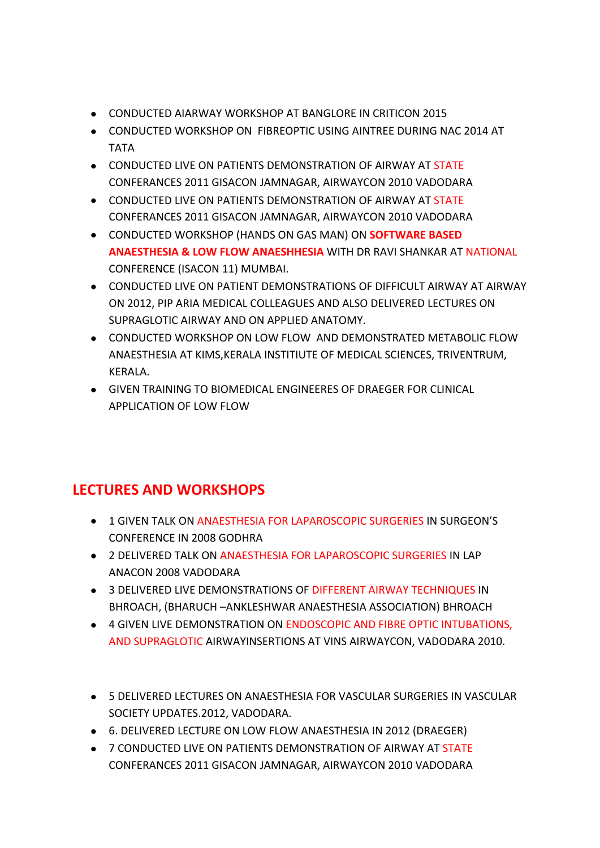- CONDUCTED AIARWAY WORKSHOP AT BANGLORE IN CRITICON 2015
- CONDUCTED WORKSHOP ON FIBREOPTIC USING AINTREE DURING NAC 2014 AT TATA
- **CONDUCTED LIVE ON PATIENTS DEMONSTRATION OF AIRWAY AT STATE** CONFERANCES 2011 GISACON JAMNAGAR, AIRWAYCON 2010 VADODARA
- CONDUCTED LIVE ON PATIENTS DEMONSTRATION OF AIRWAY AT STATE CONFERANCES 2011 GISACON JAMNAGAR, AIRWAYCON 2010 VADODARA
- CONDUCTED WORKSHOP (HANDS ON GAS MAN) ON **SOFTWARE BASED ANAESTHESIA & LOW FLOW ANAESHHESIA** WITH DR RAVI SHANKAR AT NATIONAL CONFERENCE (ISACON 11) MUMBAI.
- CONDUCTED LIVE ON PATIENT DEMONSTRATIONS OF DIFFICULT AIRWAY AT AIRWAY ON 2012, PIP ARIA MEDICAL COLLEAGUES AND ALSO DELIVERED LECTURES ON SUPRAGLOTIC AIRWAY AND ON APPLIED ANATOMY.
- CONDUCTED WORKSHOP ON LOW FLOW AND DEMONSTRATED METABOLIC FLOW ANAESTHESIA AT KIMS,KERALA INSTITIUTE OF MEDICAL SCIENCES, TRIVENTRUM, KERALA.
- GIVEN TRAINING TO BIOMEDICAL ENGINEERES OF DRAEGER FOR CLINICAL APPLICATION OF LOW FLOW

## **LECTURES AND WORKSHOPS**

- 1 GIVEN TALK ON ANAESTHESIA FOR LAPAROSCOPIC SURGERIES IN SURGEON'S CONFERENCE IN 2008 GODHRA
- 2 DELIVERED TALK ON ANAESTHESIA FOR LAPAROSCOPIC SURGERIES IN LAP ANACON 2008 VADODARA
- 3 DELIVERED LIVE DEMONSTRATIONS OF DIFFERENT AIRWAY TECHNIQUES IN BHROACH, (BHARUCH –ANKLESHWAR ANAESTHESIA ASSOCIATION) BHROACH
- 4 GIVEN LIVE DEMONSTRATION ON ENDOSCOPIC AND FIBRE OPTIC INTUBATIONS, AND SUPRAGLOTIC AIRWAYINSERTIONS AT VINS AIRWAYCON, VADODARA 2010.
- 5 DELIVERED LECTURES ON ANAESTHESIA FOR VASCULAR SURGERIES IN VASCULAR SOCIETY UPDATES.2012, VADODARA.
- 6. DELIVERED LECTURE ON LOW FLOW ANAESTHESIA IN 2012 (DRAEGER)
- 7 CONDUCTED LIVE ON PATIENTS DEMONSTRATION OF AIRWAY AT STATE CONFERANCES 2011 GISACON JAMNAGAR, AIRWAYCON 2010 VADODARA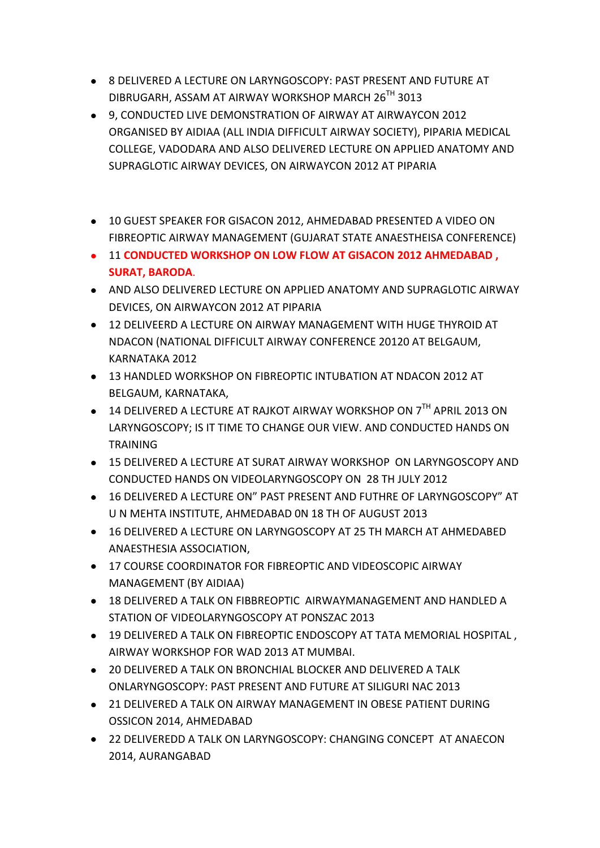- 8 DELIVERED A LECTURE ON LARYNGOSCOPY: PAST PRESENT AND FUTURE AT DIBRUGARH, ASSAM AT AIRWAY WORKSHOP MARCH 26TH 3013
- 9, CONDUCTED LIVE DEMONSTRATION OF AIRWAY AT AIRWAYCON 2012 ORGANISED BY AIDIAA (ALL INDIA DIFFICULT AIRWAY SOCIETY), PIPARIA MEDICAL COLLEGE, VADODARA AND ALSO DELIVERED LECTURE ON APPLIED ANATOMY AND SUPRAGLOTIC AIRWAY DEVICES, ON AIRWAYCON 2012 AT PIPARIA
- 10 GUEST SPEAKER FOR GISACON 2012, AHMEDABAD PRESENTED A VIDEO ON FIBREOPTIC AIRWAY MANAGEMENT (GUJARAT STATE ANAESTHEISA CONFERENCE)
- 11 **CONDUCTED WORKSHOP ON LOW FLOW AT GISACON 2012 AHMEDABAD , SURAT, BARODA**.
- AND ALSO DELIVERED LECTURE ON APPLIED ANATOMY AND SUPRAGLOTIC AIRWAY DEVICES, ON AIRWAYCON 2012 AT PIPARIA
- 12 DELIVEERD A LECTURE ON AIRWAY MANAGEMENT WITH HUGE THYROID AT NDACON (NATIONAL DIFFICULT AIRWAY CONFERENCE 20120 AT BELGAUM, KARNATAKA 2012
- 13 HANDLED WORKSHOP ON FIBREOPTIC INTUBATION AT NDACON 2012 AT BELGAUM, KARNATAKA,
- $\bullet$  14 DELIVERED A LECTURE AT RAJKOT AIRWAY WORKSHOP ON  $7^{\text{TH}}$  APRIL 2013 ON LARYNGOSCOPY; IS IT TIME TO CHANGE OUR VIEW. AND CONDUCTED HANDS ON **TRAINING**
- 15 DELIVERED A LECTURE AT SURAT AIRWAY WORKSHOP ON LARYNGOSCOPY AND CONDUCTED HANDS ON VIDEOLARYNGOSCOPY ON 28 TH JULY 2012
- 16 DELIVERED A LECTURE ON" PAST PRESENT AND FUTHRE OF LARYNGOSCOPY" AT U N MEHTA INSTITUTE, AHMEDABAD 0N 18 TH OF AUGUST 2013
- 16 DELIVERED A LECTURE ON LARYNGOSCOPY AT 25 TH MARCH AT AHMEDABED ANAESTHESIA ASSOCIATION,
- 17 COURSE COORDINATOR FOR FIBREOPTIC AND VIDEOSCOPIC AIRWAY MANAGEMENT (BY AIDIAA)
- 18 DELIVERED A TALK ON FIBBREOPTIC AIRWAYMANAGEMENT AND HANDLED A STATION OF VIDEOLARYNGOSCOPY AT PONSZAC 2013
- 19 DELIVERED A TALK ON FIBREOPTIC ENDOSCOPY AT TATA MEMORIAL HOSPITAL , AIRWAY WORKSHOP FOR WAD 2013 AT MUMBAI.
- 20 DELIVERED A TALK ON BRONCHIAL BLOCKER AND DELIVERED A TALK ONLARYNGOSCOPY: PAST PRESENT AND FUTURE AT SILIGURI NAC 2013
- 21 DELIVERED A TALK ON AIRWAY MANAGEMENT IN OBESE PATIENT DURING OSSICON 2014, AHMEDABAD
- 22 DELIVEREDD A TALK ON LARYNGOSCOPY: CHANGING CONCEPT AT ANAECON 2014, AURANGABAD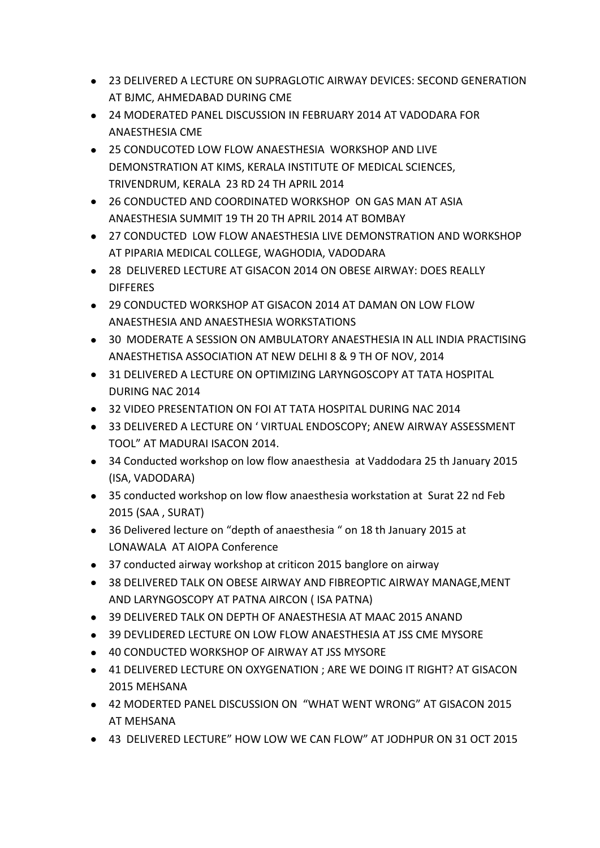- 23 DELIVERED A LECTURE ON SUPRAGLOTIC AIRWAY DEVICES: SECOND GENERATION AT BJMC, AHMEDABAD DURING CME
- 24 MODERATED PANEL DISCUSSION IN FEBRUARY 2014 AT VADODARA FOR ANAESTHESIA CME
- 25 CONDUCOTED LOW FLOW ANAESTHESIA WORKSHOP AND LIVE DEMONSTRATION AT KIMS, KERALA INSTITUTE OF MEDICAL SCIENCES, TRIVENDRUM, KERALA 23 RD 24 TH APRIL 2014
- 26 CONDUCTED AND COORDINATED WORKSHOP ON GAS MAN AT ASIA ANAESTHESIA SUMMIT 19 TH 20 TH APRIL 2014 AT BOMBAY
- 27 CONDUCTED LOW FLOW ANAESTHESIA LIVE DEMONSTRATION AND WORKSHOP AT PIPARIA MEDICAL COLLEGE, WAGHODIA, VADODARA
- 28 DELIVERED LECTURE AT GISACON 2014 ON OBESE AIRWAY: DOES REALLY **DIFFERES**
- 29 CONDUCTED WORKSHOP AT GISACON 2014 AT DAMAN ON LOW FLOW ANAESTHESIA AND ANAESTHESIA WORKSTATIONS
- 30 MODERATE A SESSION ON AMBULATORY ANAESTHESIA IN ALL INDIA PRACTISING ANAESTHETISA ASSOCIATION AT NEW DELHI 8 & 9 TH OF NOV, 2014
- 31 DELIVERED A LECTURE ON OPTIMIZING LARYNGOSCOPY AT TATA HOSPITAL DURING NAC 2014
- 32 VIDEO PRESENTATION ON FOI AT TATA HOSPITAL DURING NAC 2014
- 33 DELIVERED A LECTURE ON ' VIRTUAL ENDOSCOPY; ANEW AIRWAY ASSESSMENT TOOL" AT MADURAI ISACON 2014.
- 34 Conducted workshop on low flow anaesthesia at Vaddodara 25 th January 2015 (ISA, VADODARA)
- 35 conducted workshop on low flow anaesthesia workstation at Surat 22 nd Feb 2015 (SAA , SURAT)
- 36 Delivered lecture on "depth of anaesthesia " on 18 th January 2015 at LONAWALA AT AIOPA Conference
- 37 conducted airway workshop at criticon 2015 banglore on airway
- 38 DELIVERED TALK ON OBESE AIRWAY AND FIBREOPTIC AIRWAY MANAGE,MENT AND LARYNGOSCOPY AT PATNA AIRCON ( ISA PATNA)
- 39 DELIVERED TALK ON DEPTH OF ANAESTHESIA AT MAAC 2015 ANAND
- 39 DEVLIDERED LECTURE ON LOW FLOW ANAESTHESIA AT JSS CME MYSORE
- 40 CONDUCTED WORKSHOP OF AIRWAY AT JSS MYSORE
- 41 DELIVERED LECTURE ON OXYGENATION ; ARE WE DOING IT RIGHT? AT GISACON 2015 MEHSANA
- 42 MODERTED PANEL DISCUSSION ON "WHAT WENT WRONG" AT GISACON 2015 AT MEHSANA
- 43 DELIVERED LECTURE" HOW LOW WE CAN FLOW" AT JODHPUR ON 31 OCT 2015